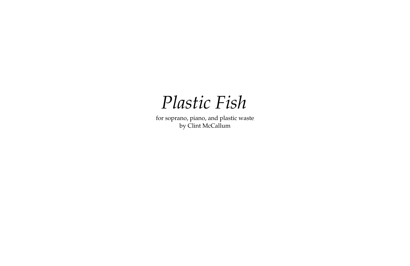## *Plastic Fish*

for soprano, piano, and plastic waste by Clint McCallum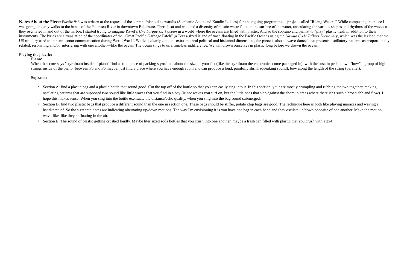Notes About the Piece: Plastic fish was written at the request of the soprano/piano duo Astralis (Stephanie Aston and Katalin Lukacs) for an ongoing programmatic project called "Rising Waters." While composing the piece I was going on daily walks to the banks of the Patapsco River in downtown Baltimore. There I sat and watched a diversity of plastic waste float on the surface of the water, articulating the various shapes and rhythms of the they oscillated in and out of the harbor. I started trying to imagine Ravel's *Une barque sur l'ocean* in a world where the oceans are filled with plastic. And so the soprano and pianist to "play" plastic trash in addition instruments. The lyrics are a translation of the coordinates of the "Great Pacific Garbage Patch" (a Texas-sized island of trash floating in the Pacific Ocean) using the Navajo Code Talkers Dictionary, which was the lexico US military used to transmit sonar communication during World War II. While it clearly contains extra-musical political and historical dimensions, the piece is also a "wave-dance" that presents oscillatory patterns as prop related, resonating and/or interfering with one another—like the ocean. The ocean sings to us a timeless indifference. We will drown ourselves in plastic long before we drown the ocean.

When the score says "styrofoam inside of piano" find a solid piece of packing styrofoam about the size of your fist (like the styrofoam the electronics come packaged in), with the sustain pedal down "bow" a group of high strings inside of the piano (between F5 and F6 maybe, just find a place where you have enough room and can produce a loud, painfully shrill, squeaking sound), bow along the length of the string (parallel).

## **Playing the plactic:**

## **Piano:**

## **Soprano:**

- Section A: find a plastic bag and a plastic bottle that sound good. Cut the top off of the bottle so that you can easily sing into it. In this section, your are mostly crumpling and rubbing the two together, making oscilating patterns that are supposed two sound like little waves that you find in a bay (ie not waves you surf on, but the little ones that slap against the shore in areas where there isn't such a broad ebb and flow). I hope this makes sense. When you sing into the bottle exentuate the distance/echo quality, when you sing into the bag sound submerged.
- Section B: find two plastic bags that produce a different sound than the one in section one. These bags should be stiffer, potato chip bags are good. The technique here is both like playing maracas and waving a handkerchief. So the sixteenth notes are indicating alternating up/down motions. The way I'm envisioning it is you have one bag in each hand and they oscilate up/down opposite of one another. Make the motion wave-like, like they're floating in the air.
- Section E: The sound of plastic getting crushed loudly. Maybe liter sized soda bottles that you crush into one another, maybe a trash can filled with plastic that you crush with a 2x4.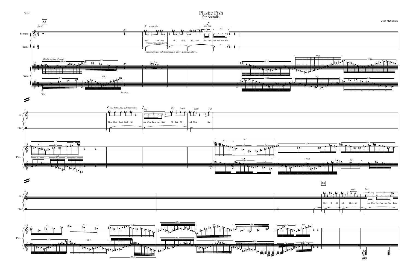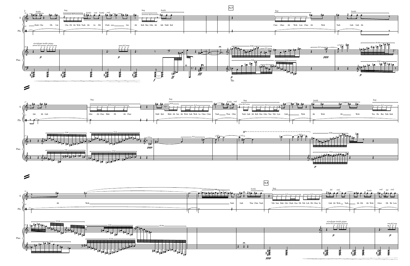







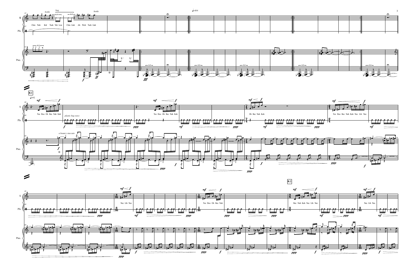

 $\boldsymbol{p}$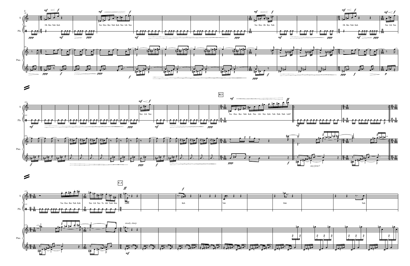





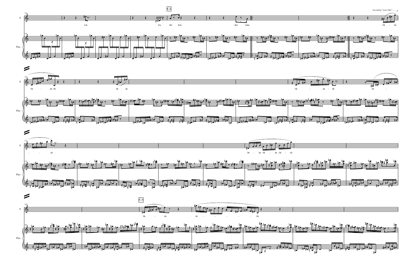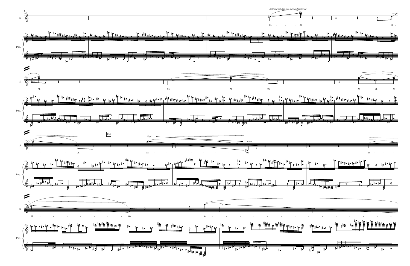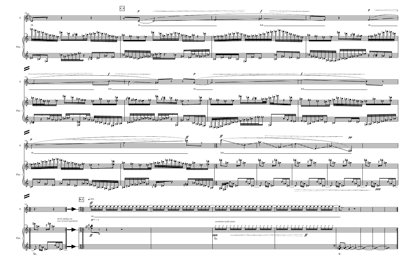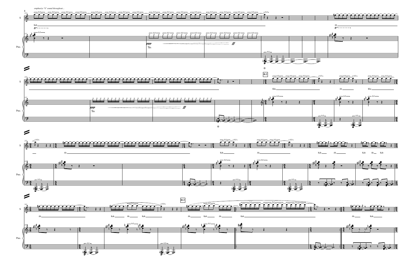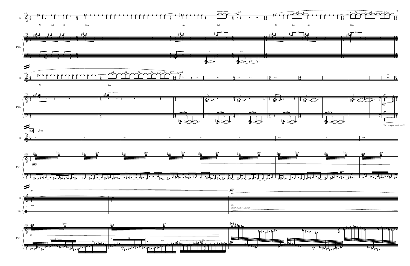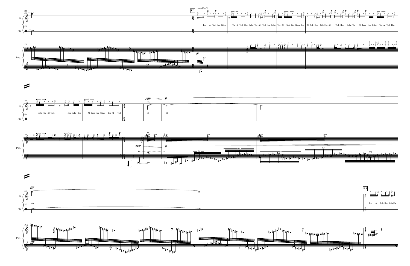

 $\rightarrow$ 





| $\times 3$ |                        | $\overline{\mathsf{x}}$                              | $\times 3$ |
|------------|------------------------|------------------------------------------------------|------------|
| Toe        | Al Tesh Hoe GahnToe Al | Tesh Hoe Gahn Toe Al Tesh   Hoe Gahn Toe Al Tesh Hoe |            |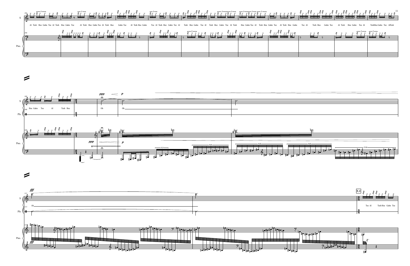



 $\rightarrow$